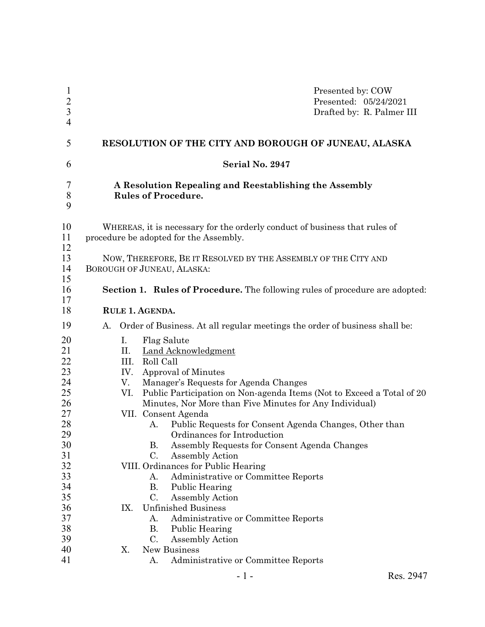| $\mathbf{1}$<br>$\frac{2}{3}$<br>$\overline{4}$ | Presented by: COW<br>Presented: 05/24/2021<br>Drafted by: R. Palmer III                                                                                                                                       |  |  |  |  |
|-------------------------------------------------|---------------------------------------------------------------------------------------------------------------------------------------------------------------------------------------------------------------|--|--|--|--|
| 5                                               | RESOLUTION OF THE CITY AND BOROUGH OF JUNEAU, ALASKA                                                                                                                                                          |  |  |  |  |
| 6                                               | Serial No. 2947                                                                                                                                                                                               |  |  |  |  |
| 7<br>$\,$ $\,$<br>9                             | A Resolution Repealing and Reestablishing the Assembly<br><b>Rules of Procedure.</b>                                                                                                                          |  |  |  |  |
| 10<br>11<br>12                                  | WHEREAS, it is necessary for the orderly conduct of business that rules of<br>procedure be adopted for the Assembly.                                                                                          |  |  |  |  |
| 13<br>14<br>15                                  | NOW, THEREFORE, BE IT RESOLVED BY THE ASSEMBLY OF THE CITY AND<br>BOROUGH OF JUNEAU, ALASKA:                                                                                                                  |  |  |  |  |
| 16<br>17                                        | <b>Section 1. Rules of Procedure.</b> The following rules of procedure are adopted:                                                                                                                           |  |  |  |  |
| 18                                              | RULE 1. AGENDA.                                                                                                                                                                                               |  |  |  |  |
| 19                                              | Order of Business. At all regular meetings the order of business shall be:<br>А.                                                                                                                              |  |  |  |  |
| 20<br>21<br>22<br>23                            | I.<br>Flag Salute<br>Land Acknowledgment<br>П.<br>Roll Call<br>III.<br>IV.<br>Approval of Minutes                                                                                                             |  |  |  |  |
| 24<br>25<br>26<br>27                            | Manager's Requests for Agenda Changes<br>V.<br>Public Participation on Non-agenda Items (Not to Exceed a Total of 20<br>VI.<br>Minutes, Nor More than Five Minutes for Any Individual)<br>VII. Consent Agenda |  |  |  |  |
| $28\,$<br>29<br>30                              | Public Requests for Consent Agenda Changes, Other than<br>A.<br>Ordinances for Introduction<br>Assembly Requests for Consent Agenda Changes<br>В.                                                             |  |  |  |  |
| 31<br>32<br>33<br>34                            | C.<br><b>Assembly Action</b><br>VIII. Ordinances for Public Hearing<br>Administrative or Committee Reports<br>A.<br>В.<br>Public Hearing                                                                      |  |  |  |  |
| 35<br>36<br>37<br>38                            | C.<br>Assembly Action<br>IX.<br><b>Unfinished Business</b><br>Administrative or Committee Reports<br>А.<br>Public Hearing<br>В.                                                                               |  |  |  |  |
| 39<br>40<br>41                                  | C.<br><b>Assembly Action</b><br>X.<br>New Business<br>Administrative or Committee Reports<br>A.                                                                                                               |  |  |  |  |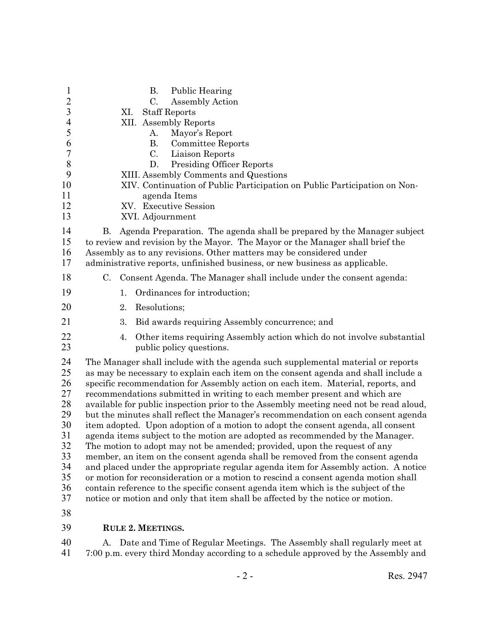| $\mathbf{1}$<br>$\overline{c}$<br>$\overline{3}$<br>$\overline{4}$<br>5<br>6<br>$\boldsymbol{7}$<br>$8\,$<br>9<br>10<br>11<br>12<br>13 |                                                                                                                                                                                                                                                                                                                                                                                                                                                                                                                                                                                                                                                                                                                                                                                                                                                                                                                                                                                                                                                                                                                                                                                                             | XI. | <b>B.</b><br><b>Public Hearing</b><br>C.<br>Assembly Action<br><b>Staff Reports</b><br>XII. Assembly Reports<br>Mayor's Report<br>А.<br>Committee Reports<br>В.<br>Liaison Reports<br>C.<br><b>Presiding Officer Reports</b><br>D.<br>XIII. Assembly Comments and Questions<br>XIV. Continuation of Public Participation on Public Participation on Non-<br>agenda Items<br>XV. Executive Session<br>XVI. Adjournment |  |  |
|----------------------------------------------------------------------------------------------------------------------------------------|-------------------------------------------------------------------------------------------------------------------------------------------------------------------------------------------------------------------------------------------------------------------------------------------------------------------------------------------------------------------------------------------------------------------------------------------------------------------------------------------------------------------------------------------------------------------------------------------------------------------------------------------------------------------------------------------------------------------------------------------------------------------------------------------------------------------------------------------------------------------------------------------------------------------------------------------------------------------------------------------------------------------------------------------------------------------------------------------------------------------------------------------------------------------------------------------------------------|-----|-----------------------------------------------------------------------------------------------------------------------------------------------------------------------------------------------------------------------------------------------------------------------------------------------------------------------------------------------------------------------------------------------------------------------|--|--|
| 14<br>15<br>16<br>17                                                                                                                   | Agenda Preparation. The agenda shall be prepared by the Manager subject<br>В.<br>to review and revision by the Mayor. The Mayor or the Manager shall brief the<br>Assembly as to any revisions. Other matters may be considered under<br>administrative reports, unfinished business, or new business as applicable.                                                                                                                                                                                                                                                                                                                                                                                                                                                                                                                                                                                                                                                                                                                                                                                                                                                                                        |     |                                                                                                                                                                                                                                                                                                                                                                                                                       |  |  |
| 18                                                                                                                                     |                                                                                                                                                                                                                                                                                                                                                                                                                                                                                                                                                                                                                                                                                                                                                                                                                                                                                                                                                                                                                                                                                                                                                                                                             |     | C. Consent Agenda. The Manager shall include under the consent agenda:                                                                                                                                                                                                                                                                                                                                                |  |  |
| 19                                                                                                                                     |                                                                                                                                                                                                                                                                                                                                                                                                                                                                                                                                                                                                                                                                                                                                                                                                                                                                                                                                                                                                                                                                                                                                                                                                             | 1.  | Ordinances for introduction;                                                                                                                                                                                                                                                                                                                                                                                          |  |  |
| 20                                                                                                                                     |                                                                                                                                                                                                                                                                                                                                                                                                                                                                                                                                                                                                                                                                                                                                                                                                                                                                                                                                                                                                                                                                                                                                                                                                             | 2.  | Resolutions;                                                                                                                                                                                                                                                                                                                                                                                                          |  |  |
| 21                                                                                                                                     |                                                                                                                                                                                                                                                                                                                                                                                                                                                                                                                                                                                                                                                                                                                                                                                                                                                                                                                                                                                                                                                                                                                                                                                                             | 3.  | Bid awards requiring Assembly concurrence; and                                                                                                                                                                                                                                                                                                                                                                        |  |  |
| 22<br>23                                                                                                                               |                                                                                                                                                                                                                                                                                                                                                                                                                                                                                                                                                                                                                                                                                                                                                                                                                                                                                                                                                                                                                                                                                                                                                                                                             | 4.  | Other items requiring Assembly action which do not involve substantial<br>public policy questions.                                                                                                                                                                                                                                                                                                                    |  |  |
| 24<br>25<br>26<br>27<br>28<br>29<br>30<br>31<br>32<br>33<br>34<br>35<br>36<br>37                                                       | The Manager shall include with the agenda such supplemental material or reports<br>as may be necessary to explain each item on the consent agenda and shall include a<br>specific recommendation for Assembly action on each item. Material, reports, and<br>recommendations submitted in writing to each member present and which are<br>available for public inspection prior to the Assembly meeting need not be read aloud,<br>but the minutes shall reflect the Manager's recommendation on each consent agenda<br>item adopted. Upon adoption of a motion to adopt the consent agenda, all consent<br>agenda items subject to the motion are adopted as recommended by the Manager.<br>The motion to adopt may not be amended; provided, upon the request of any<br>member, an item on the consent agenda shall be removed from the consent agenda<br>and placed under the appropriate regular agenda item for Assembly action. A notice<br>or motion for reconsideration or a motion to rescind a consent agenda motion shall<br>contain reference to the specific consent agenda item which is the subject of the<br>notice or motion and only that item shall be affected by the notice or motion. |     |                                                                                                                                                                                                                                                                                                                                                                                                                       |  |  |
| 38<br>39                                                                                                                               |                                                                                                                                                                                                                                                                                                                                                                                                                                                                                                                                                                                                                                                                                                                                                                                                                                                                                                                                                                                                                                                                                                                                                                                                             |     | <b>RULE 2. MEETINGS.</b>                                                                                                                                                                                                                                                                                                                                                                                              |  |  |

40 A. Date and Time of Regular Meetings. The Assembly shall regularly meet at 41 7:00 p.m. every third Monday according to a schedule approved by the Assembly and 7:00 p.m. every third Monday according to a schedule approved by the Assembly and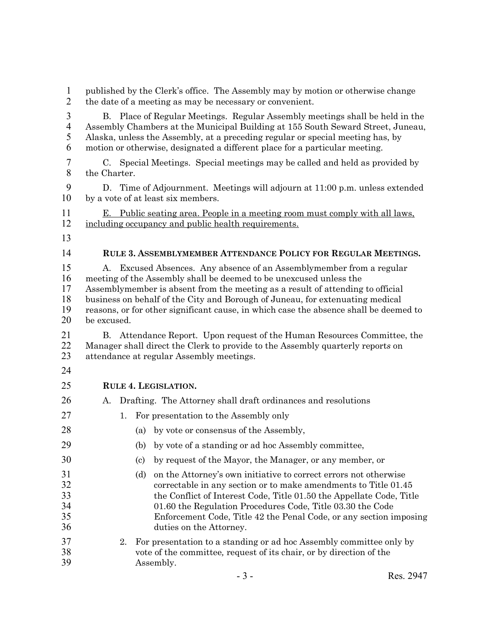| $\mathbf{1}$<br>$\overline{2}$                       | published by the Clerk's office. The Assembly may by motion or otherwise change<br>the date of a meeting as may be necessary or convenient.                                                                                                                                                                                                                                                                              |  |  |  |  |
|------------------------------------------------------|--------------------------------------------------------------------------------------------------------------------------------------------------------------------------------------------------------------------------------------------------------------------------------------------------------------------------------------------------------------------------------------------------------------------------|--|--|--|--|
| $\mathfrak{Z}$<br>$\overline{\mathcal{A}}$<br>5<br>6 | B. Place of Regular Meetings. Regular Assembly meetings shall be held in the<br>Assembly Chambers at the Municipal Building at 155 South Seward Street, Juneau,<br>Alaska, unless the Assembly, at a preceding regular or special meeting has, by<br>motion or otherwise, designated a different place for a particular meeting.                                                                                         |  |  |  |  |
| $\boldsymbol{7}$<br>8                                | C. Special Meetings. Special meetings may be called and held as provided by<br>the Charter.                                                                                                                                                                                                                                                                                                                              |  |  |  |  |
| 9<br>10                                              | D. Time of Adjournment. Meetings will adjourn at 11:00 p.m. unless extended<br>by a vote of at least six members.                                                                                                                                                                                                                                                                                                        |  |  |  |  |
| 11<br>12                                             | E. Public seating area. People in a meeting room must comply with all laws,<br>including occupancy and public health requirements.                                                                                                                                                                                                                                                                                       |  |  |  |  |
| 13                                                   |                                                                                                                                                                                                                                                                                                                                                                                                                          |  |  |  |  |
| 14                                                   | RULE 3. ASSEMBLYMEMBER ATTENDANCE POLICY FOR REGULAR MEETINGS.                                                                                                                                                                                                                                                                                                                                                           |  |  |  |  |
| 15<br>16<br>17<br>18<br>19<br>20                     | Excused Absences. Any absence of an Assemblymember from a regular<br>A.<br>meeting of the Assembly shall be deemed to be unexcused unless the<br>Assemblymember is absent from the meeting as a result of attending to official<br>business on behalf of the City and Borough of Juneau, for extenuating medical<br>reasons, or for other significant cause, in which case the absence shall be deemed to<br>be excused. |  |  |  |  |
| 21<br>22<br>23<br>24                                 | Attendance Report. Upon request of the Human Resources Committee, the<br><b>B.</b><br>Manager shall direct the Clerk to provide to the Assembly quarterly reports on<br>attendance at regular Assembly meetings.                                                                                                                                                                                                         |  |  |  |  |
| 25                                                   | RULE 4. LEGISLATION.                                                                                                                                                                                                                                                                                                                                                                                                     |  |  |  |  |
| 26                                                   | Drafting. The Attorney shall draft ordinances and resolutions<br>A.                                                                                                                                                                                                                                                                                                                                                      |  |  |  |  |
| 27                                                   | For presentation to the Assembly only<br>1.                                                                                                                                                                                                                                                                                                                                                                              |  |  |  |  |
| 28                                                   | (a) by vote or consensus of the Assembly,                                                                                                                                                                                                                                                                                                                                                                                |  |  |  |  |
| 29                                                   | by vote of a standing or ad hoc Assembly committee,<br>(b)                                                                                                                                                                                                                                                                                                                                                               |  |  |  |  |
| 30                                                   | by request of the Mayor, the Manager, or any member, or<br>$\left( \mathrm{c}\right)$                                                                                                                                                                                                                                                                                                                                    |  |  |  |  |
| 31<br>32<br>33<br>34<br>35<br>36                     | (d)<br>on the Attorney's own initiative to correct errors not otherwise<br>correctable in any section or to make amendments to Title 01.45<br>the Conflict of Interest Code, Title 01.50 the Appellate Code, Title<br>01.60 the Regulation Procedures Code, Title 03.30 the Code<br>Enforcement Code, Title 42 the Penal Code, or any section imposing<br>duties on the Attorney.                                        |  |  |  |  |
| 37<br>38<br>39                                       | For presentation to a standing or ad hoc Assembly committee only by<br>2.<br>vote of the committee, request of its chair, or by direction of the<br>Assembly.                                                                                                                                                                                                                                                            |  |  |  |  |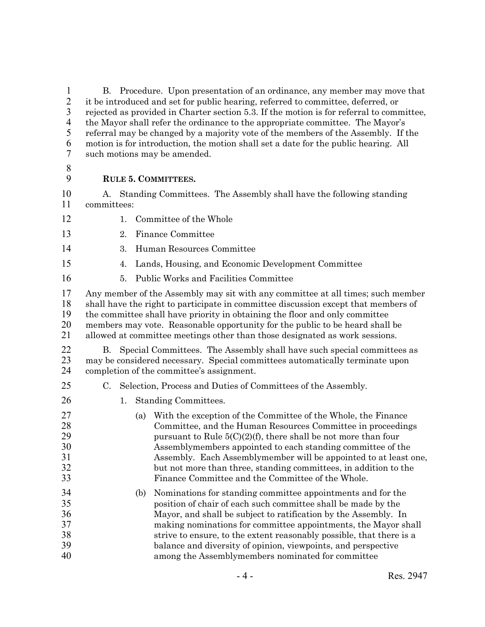1 B. Procedure. Upon presentation of an ordinance, any member may move that it be introduced and set for public hearing, referred to committee, deferred, or it be introduced and set for public hearing, referred to committee, deferred, or rejected as provided in Charter section 5.3. If the motion is for referral to committee, the Mayor shall refer the ordinance to the appropriate committee. The Mayor's referral may be changed by a majority vote of the members of the Assembly. If the motion is for introduction, the motion shall set a date for the public hearing. All such motions may be amended.

## **RULE 5. COMMITTEES.**

 A. Standing Committees. The Assembly shall have the following standing committees:

- 12 1. Committee of the Whole
- 2. Finance Committee
- 3. Human Resources Committee
- 4. Lands, Housing, and Economic Development Committee
- 5. Public Works and Facilities Committee
- Any member of the Assembly may sit with any committee at all times; such member shall have the right to participate in committee discussion except that members of the committee shall have priority in obtaining the floor and only committee members may vote. Reasonable opportunity for the public to be heard shall be allowed at committee meetings other than those designated as work sessions.
- 22 B. Special Committees. The Assembly shall have such special committees as 23 may be considered necessary. Special committees automatically terminate upon<br>24 completion of the committee's assignment. completion of the committee's assignment.
- C. Selection, Process and Duties of Committees of the Assembly.
- 26 1. Standing Committees. (a) With the exception of the Committee of the Whole, the Finance 28 Committee, and the Human Resources Committee in proceedings<br>29 mursuant to Rule  $5(C)(2)(f)$ , there shall be not more than four pursuant to Rule  $5(C)(2)(f)$ , there shall be not more than four 30 Assemblymembers appointed to each standing committee of the<br>31 Assembly. Each Assemblymember will be appointed to at least 31 Assembly. Each Assemblymember will be appointed to at least one,<br>32 but not more than three, standing committees, in addition to the but not more than three, standing committees, in addition to the Finance Committee and the Committee of the Whole. (b) Nominations for standing committee appointments and for the position of chair of each such committee shall be made by the Mayor, and shall be subject to ratification by the Assembly. In making nominations for committee appointments, the Mayor shall strive to ensure, to the extent reasonably possible, that there is a balance and diversity of opinion, viewpoints, and perspective among the Assemblymembers nominated for committee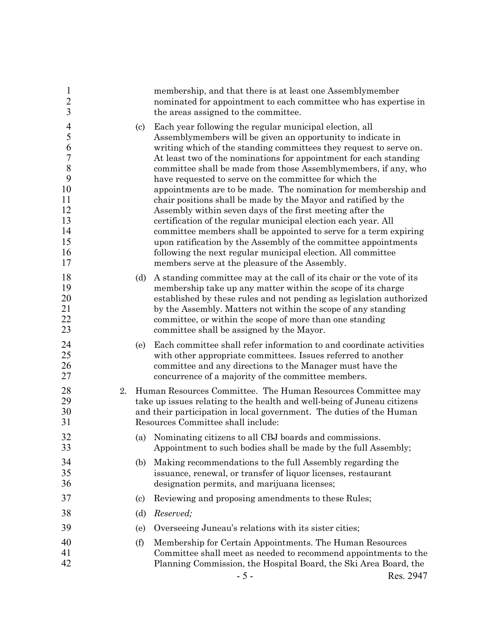| $\mathbf{1}$<br>$\overline{c}$<br>$\overline{3}$                                                           |                                                                                                                                                                                                                                                       | membership, and that there is at least one Assemblymember<br>nominated for appointment to each committee who has expertise in<br>the areas assigned to the committee.                                                                                                                                                                                                                                                                                                                                                                                                                                                                                                                                                                                                                                                                                                                                                       |  |
|------------------------------------------------------------------------------------------------------------|-------------------------------------------------------------------------------------------------------------------------------------------------------------------------------------------------------------------------------------------------------|-----------------------------------------------------------------------------------------------------------------------------------------------------------------------------------------------------------------------------------------------------------------------------------------------------------------------------------------------------------------------------------------------------------------------------------------------------------------------------------------------------------------------------------------------------------------------------------------------------------------------------------------------------------------------------------------------------------------------------------------------------------------------------------------------------------------------------------------------------------------------------------------------------------------------------|--|
| $\overline{4}$<br>5<br>6<br>$\overline{7}$<br>$\,8\,$<br>9<br>10<br>11<br>12<br>13<br>14<br>15<br>16<br>17 | $\left( \mathrm{c}\right)$                                                                                                                                                                                                                            | Each year following the regular municipal election, all<br>Assemblymembers will be given an opportunity to indicate in<br>writing which of the standing committees they request to serve on.<br>At least two of the nominations for appointment for each standing<br>committee shall be made from those Assemblymembers, if any, who<br>have requested to serve on the committee for which the<br>appointments are to be made. The nomination for membership and<br>chair positions shall be made by the Mayor and ratified by the<br>Assembly within seven days of the first meeting after the<br>certification of the regular municipal election each year. All<br>committee members shall be appointed to serve for a term expiring<br>upon ratification by the Assembly of the committee appointments<br>following the next regular municipal election. All committee<br>members serve at the pleasure of the Assembly. |  |
| 18<br>19<br>20<br>21<br>22<br>23                                                                           | (d)                                                                                                                                                                                                                                                   | A standing committee may at the call of its chair or the vote of its<br>membership take up any matter within the scope of its charge<br>established by these rules and not pending as legislation authorized<br>by the Assembly. Matters not within the scope of any standing<br>committee, or within the scope of more than one standing<br>committee shall be assigned by the Mayor.                                                                                                                                                                                                                                                                                                                                                                                                                                                                                                                                      |  |
| 24<br>25<br>26<br>27                                                                                       | (e)                                                                                                                                                                                                                                                   | Each committee shall refer information to and coordinate activities<br>with other appropriate committees. Issues referred to another<br>committee and any directions to the Manager must have the<br>concurrence of a majority of the committee members.                                                                                                                                                                                                                                                                                                                                                                                                                                                                                                                                                                                                                                                                    |  |
| 28<br>2.<br>29<br>30<br>31                                                                                 | Human Resources Committee. The Human Resources Committee may<br>take up issues relating to the health and well-being of Juneau citizens<br>and their participation in local government. The duties of the Human<br>Resources Committee shall include: |                                                                                                                                                                                                                                                                                                                                                                                                                                                                                                                                                                                                                                                                                                                                                                                                                                                                                                                             |  |
| 32<br>33                                                                                                   | (a)                                                                                                                                                                                                                                                   | Nominating citizens to all CBJ boards and commissions.<br>Appointment to such bodies shall be made by the full Assembly;                                                                                                                                                                                                                                                                                                                                                                                                                                                                                                                                                                                                                                                                                                                                                                                                    |  |
| 34<br>35<br>36                                                                                             | (b)                                                                                                                                                                                                                                                   | Making recommendations to the full Assembly regarding the<br>issuance, renewal, or transfer of liquor licenses, restaurant<br>designation permits, and marijuana licenses;                                                                                                                                                                                                                                                                                                                                                                                                                                                                                                                                                                                                                                                                                                                                                  |  |
| 37                                                                                                         | $\left( \mathrm{c}\right)$                                                                                                                                                                                                                            | Reviewing and proposing amendments to these Rules;                                                                                                                                                                                                                                                                                                                                                                                                                                                                                                                                                                                                                                                                                                                                                                                                                                                                          |  |
| 38                                                                                                         | (d)                                                                                                                                                                                                                                                   | Reserved;                                                                                                                                                                                                                                                                                                                                                                                                                                                                                                                                                                                                                                                                                                                                                                                                                                                                                                                   |  |
| 39                                                                                                         | (e)                                                                                                                                                                                                                                                   | Overseeing Juneau's relations with its sister cities;                                                                                                                                                                                                                                                                                                                                                                                                                                                                                                                                                                                                                                                                                                                                                                                                                                                                       |  |
| 40<br>41<br>42                                                                                             | (f)                                                                                                                                                                                                                                                   | Membership for Certain Appointments. The Human Resources<br>Committee shall meet as needed to recommend appointments to the<br>Planning Commission, the Hospital Board, the Ski Area Board, the<br>$-5-$<br>Res. 2947                                                                                                                                                                                                                                                                                                                                                                                                                                                                                                                                                                                                                                                                                                       |  |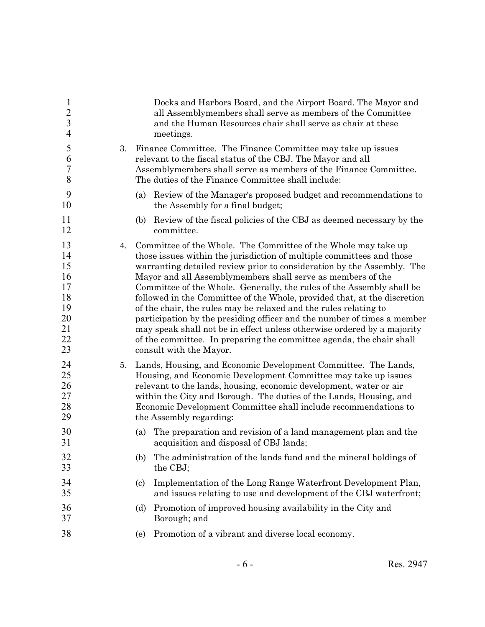| $\mathbf{1}$<br>$\overline{2}$<br>$\overline{3}$<br>$\overline{4}$ |    | Docks and Harbors Board, and the Airport Board. The Mayor and<br>all Assemblymembers shall serve as members of the Committee<br>and the Human Resources chair shall serve as chair at these<br>meetings.                                                                                                                                                                                                                                                                                                                                                                                                                                                                                                                                                           |  |  |  |
|--------------------------------------------------------------------|----|--------------------------------------------------------------------------------------------------------------------------------------------------------------------------------------------------------------------------------------------------------------------------------------------------------------------------------------------------------------------------------------------------------------------------------------------------------------------------------------------------------------------------------------------------------------------------------------------------------------------------------------------------------------------------------------------------------------------------------------------------------------------|--|--|--|
| 5<br>6<br>$\boldsymbol{7}$<br>8                                    | 3. | Finance Committee. The Finance Committee may take up issues<br>relevant to the fiscal status of the CBJ. The Mayor and all<br>Assemblymembers shall serve as members of the Finance Committee.<br>The duties of the Finance Committee shall include:                                                                                                                                                                                                                                                                                                                                                                                                                                                                                                               |  |  |  |
| 9<br>10                                                            |    | Review of the Manager's proposed budget and recommendations to<br>(a)<br>the Assembly for a final budget;                                                                                                                                                                                                                                                                                                                                                                                                                                                                                                                                                                                                                                                          |  |  |  |
| 11<br>12                                                           |    | Review of the fiscal policies of the CBJ as deemed necessary by the<br>(b)<br>committee.                                                                                                                                                                                                                                                                                                                                                                                                                                                                                                                                                                                                                                                                           |  |  |  |
| 13<br>14<br>15<br>16<br>17<br>18<br>19<br>20<br>21<br>22<br>23     | 4. | Committee of the Whole. The Committee of the Whole may take up<br>those issues within the jurisdiction of multiple committees and those<br>warranting detailed review prior to consideration by the Assembly. The<br>Mayor and all Assemblymembers shall serve as members of the<br>Committee of the Whole. Generally, the rules of the Assembly shall be<br>followed in the Committee of the Whole, provided that, at the discretion<br>of the chair, the rules may be relaxed and the rules relating to<br>participation by the presiding officer and the number of times a member<br>may speak shall not be in effect unless otherwise ordered by a majority<br>of the committee. In preparing the committee agenda, the chair shall<br>consult with the Mayor. |  |  |  |
| 24<br>25<br>26<br>27<br>28<br>29                                   | 5. | Lands, Housing, and Economic Development Committee. The Lands,<br>Housing, and Economic Development Committee may take up issues<br>relevant to the lands, housing, economic development, water or air<br>within the City and Borough. The duties of the Lands, Housing, and<br>Economic Development Committee shall include recommendations to<br>the Assembly regarding:                                                                                                                                                                                                                                                                                                                                                                                         |  |  |  |
| 30<br>31                                                           |    | The preparation and revision of a land management plan and the<br>(a)<br>acquisition and disposal of CBJ lands;                                                                                                                                                                                                                                                                                                                                                                                                                                                                                                                                                                                                                                                    |  |  |  |
| 32<br>33                                                           |    | The administration of the lands fund and the mineral holdings of<br>(b)<br>the CBJ;                                                                                                                                                                                                                                                                                                                                                                                                                                                                                                                                                                                                                                                                                |  |  |  |
| 34<br>35                                                           |    | Implementation of the Long Range Waterfront Development Plan,<br>$\left( \mathrm{c}\right)$<br>and issues relating to use and development of the CBJ waterfront;                                                                                                                                                                                                                                                                                                                                                                                                                                                                                                                                                                                                   |  |  |  |
| 36<br>37                                                           |    | Promotion of improved housing availability in the City and<br>(d)<br>Borough; and                                                                                                                                                                                                                                                                                                                                                                                                                                                                                                                                                                                                                                                                                  |  |  |  |
| 38                                                                 |    | Promotion of a vibrant and diverse local economy.<br>(e)                                                                                                                                                                                                                                                                                                                                                                                                                                                                                                                                                                                                                                                                                                           |  |  |  |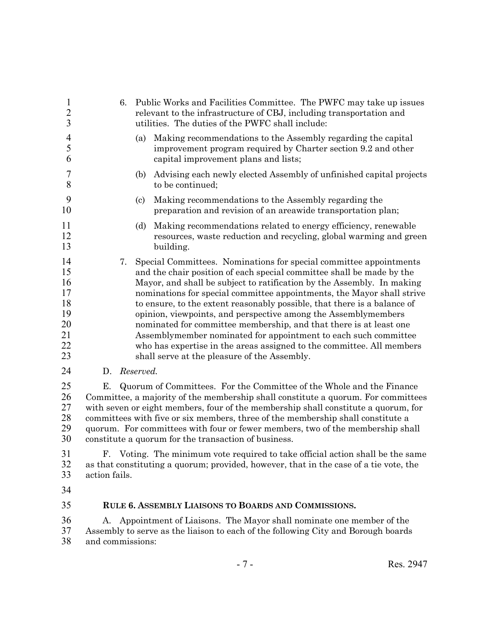| $\mathbf{1}$<br>$\frac{2}{3}$                            |                                                                                                                                                                                                                                                                                                                                                                                                                                                                                    | Public Works and Facilities Committee. The PWFC may take up issues<br>6.<br>relevant to the infrastructure of CBJ, including transportation and<br>utilities. The duties of the PWFC shall include: |                  |                                                      |                                                                                                                                                                                                                                                                                                                                                                                                                                                                                                                                                                                                                                                                 |           |
|----------------------------------------------------------|------------------------------------------------------------------------------------------------------------------------------------------------------------------------------------------------------------------------------------------------------------------------------------------------------------------------------------------------------------------------------------------------------------------------------------------------------------------------------------|-----------------------------------------------------------------------------------------------------------------------------------------------------------------------------------------------------|------------------|------------------------------------------------------|-----------------------------------------------------------------------------------------------------------------------------------------------------------------------------------------------------------------------------------------------------------------------------------------------------------------------------------------------------------------------------------------------------------------------------------------------------------------------------------------------------------------------------------------------------------------------------------------------------------------------------------------------------------------|-----------|
| $\overline{4}$<br>5<br>6                                 |                                                                                                                                                                                                                                                                                                                                                                                                                                                                                    | (a)                                                                                                                                                                                                 |                  | capital improvement plans and lists;                 | Making recommendations to the Assembly regarding the capital<br>improvement program required by Charter section 9.2 and other                                                                                                                                                                                                                                                                                                                                                                                                                                                                                                                                   |           |
| 7<br>8                                                   |                                                                                                                                                                                                                                                                                                                                                                                                                                                                                    | (b)                                                                                                                                                                                                 | to be continued; |                                                      | Advising each newly elected Assembly of unfinished capital projects                                                                                                                                                                                                                                                                                                                                                                                                                                                                                                                                                                                             |           |
| 9<br>10                                                  |                                                                                                                                                                                                                                                                                                                                                                                                                                                                                    | $\left( \mathrm{c}\right)$                                                                                                                                                                          |                  | Making recommendations to the Assembly regarding the | preparation and revision of an areawide transportation plan;                                                                                                                                                                                                                                                                                                                                                                                                                                                                                                                                                                                                    |           |
| 11<br>12<br>13                                           |                                                                                                                                                                                                                                                                                                                                                                                                                                                                                    | (d)                                                                                                                                                                                                 | building.        |                                                      | Making recommendations related to energy efficiency, renewable<br>resources, waste reduction and recycling, global warming and green                                                                                                                                                                                                                                                                                                                                                                                                                                                                                                                            |           |
| 14<br>15<br>16<br>17<br>18<br>19<br>20<br>21<br>22<br>23 |                                                                                                                                                                                                                                                                                                                                                                                                                                                                                    | 7.                                                                                                                                                                                                  |                  | shall serve at the pleasure of the Assembly.         | Special Committees. Nominations for special committee appointments<br>and the chair position of each special committee shall be made by the<br>Mayor, and shall be subject to ratification by the Assembly. In making<br>nominations for special committee appointments, the Mayor shall strive<br>to ensure, to the extent reasonably possible, that there is a balance of<br>opinion, viewpoints, and perspective among the Assemblymembers<br>nominated for committee membership, and that there is at least one<br>Assemblymember nominated for appointment to each such committee<br>who has expertise in the areas assigned to the committee. All members |           |
| 24                                                       | D.                                                                                                                                                                                                                                                                                                                                                                                                                                                                                 | Reserved.                                                                                                                                                                                           |                  |                                                      |                                                                                                                                                                                                                                                                                                                                                                                                                                                                                                                                                                                                                                                                 |           |
| 25<br>26<br>27<br>28<br>29<br>30                         | Е.<br>Quorum of Committees. For the Committee of the Whole and the Finance<br>Committee, a majority of the membership shall constitute a quorum. For committees<br>with seven or eight members, four of the membership shall constitute a quorum, for<br>committees with five or six members, three of the membership shall constitute a<br>quorum. For committees with four or fewer members, two of the membership shall<br>constitute a quorum for the transaction of business. |                                                                                                                                                                                                     |                  |                                                      |                                                                                                                                                                                                                                                                                                                                                                                                                                                                                                                                                                                                                                                                 |           |
| 31<br>32<br>33                                           | F. Voting. The minimum vote required to take official action shall be the same<br>as that constituting a quorum; provided, however, that in the case of a tie vote, the<br>action fails.                                                                                                                                                                                                                                                                                           |                                                                                                                                                                                                     |                  |                                                      |                                                                                                                                                                                                                                                                                                                                                                                                                                                                                                                                                                                                                                                                 |           |
| 34                                                       |                                                                                                                                                                                                                                                                                                                                                                                                                                                                                    |                                                                                                                                                                                                     |                  |                                                      |                                                                                                                                                                                                                                                                                                                                                                                                                                                                                                                                                                                                                                                                 |           |
| 35                                                       |                                                                                                                                                                                                                                                                                                                                                                                                                                                                                    |                                                                                                                                                                                                     |                  | RULE 6. ASSEMBLY LIAISONS TO BOARDS AND COMMISSIONS. |                                                                                                                                                                                                                                                                                                                                                                                                                                                                                                                                                                                                                                                                 |           |
| 36<br>37<br>38                                           | and commissions:                                                                                                                                                                                                                                                                                                                                                                                                                                                                   |                                                                                                                                                                                                     |                  |                                                      | A. Appointment of Liaisons. The Mayor shall nominate one member of the<br>Assembly to serve as the liaison to each of the following City and Borough boards                                                                                                                                                                                                                                                                                                                                                                                                                                                                                                     |           |
|                                                          |                                                                                                                                                                                                                                                                                                                                                                                                                                                                                    |                                                                                                                                                                                                     |                  | $-7-$                                                |                                                                                                                                                                                                                                                                                                                                                                                                                                                                                                                                                                                                                                                                 | Res. 2947 |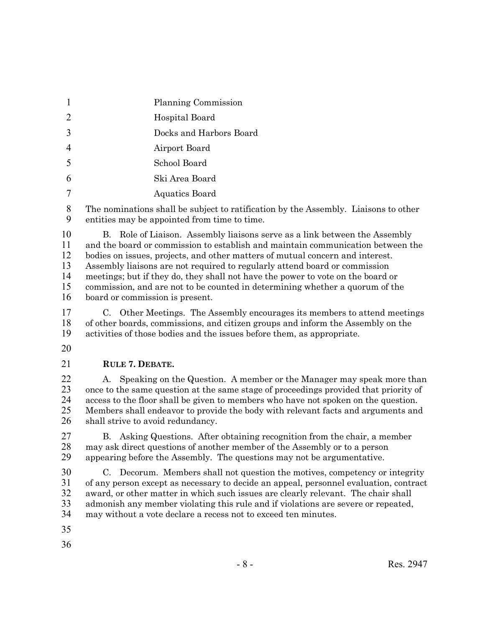- Planning Commission
- Hospital Board
- Docks and Harbors Board
- Airport Board
- School Board
- Ski Area Board
- Aquatics Board

 The nominations shall be subject to ratification by the Assembly. Liaisons to other entities may be appointed from time to time.

 B. Role of Liaison. Assembly liaisons serve as a link between the Assembly and the board or commission to establish and maintain communication between the bodies on issues, projects, and other matters of mutual concern and interest. Assembly liaisons are not required to regularly attend board or commission meetings; but if they do, they shall not have the power to vote on the board or commission, and are not to be counted in determining whether a quorum of the board or commission is present.

 C. Other Meetings. The Assembly encourages its members to attend meetings of other boards, commissions, and citizen groups and inform the Assembly on the activities of those bodies and the issues before them, as appropriate.

**RULE 7. DEBATE.**

 A. Speaking on the Question. A member or the Manager may speak more than once to the same question at the same stage of proceedings provided that priority of access to the floor shall be given to members who have not spoken on the question. Members shall endeavor to provide the body with relevant facts and arguments and 26 shall strive to avoid redundancy.

 B. Asking Questions. After obtaining recognition from the chair, a member 28 may ask direct questions of another member of the Assembly or to a person<br>29 appearing before the Assembly. The questions may not be argumentative. appearing before the Assembly. The questions may not be argumentative.

 C. Decorum. Members shall not question the motives, competency or integrity of any person except as necessary to decide an appeal, personnel evaluation, contract award, or other matter in which such issues are clearly relevant. The chair shall 33 admonish any member violating this rule and if violations are severe or repeated,<br>34 may without a vote declare a recess not to exceed ten minutes. may without a vote declare a recess not to exceed ten minutes.

- 
-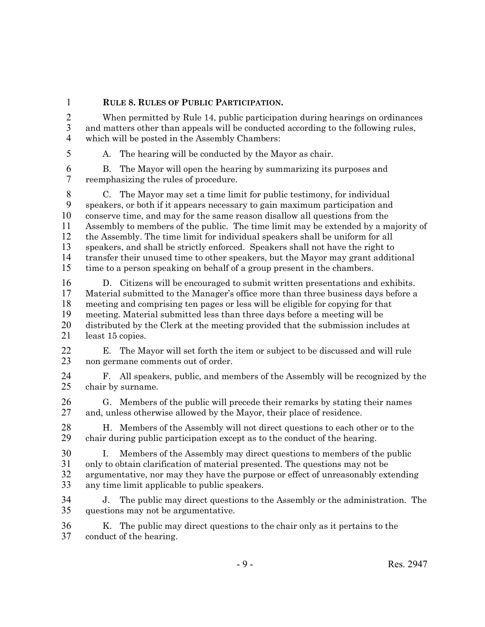**RULE 8. RULES OF PUBLIC PARTICIPATION.**

 When permitted by Rule 14, public participation during hearings on ordinances and matters other than appeals will be conducted according to the following rules, which will be posted in the Assembly Chambers:

A. The hearing will be conducted by the Mayor as chair.

6 B. The Mayor will open the hearing by summarizing its purposes and reemphasizing the rules of procedure. reemphasizing the rules of procedure.

 C. The Mayor may set a time limit for public testimony, for individual speakers, or both if it appears necessary to gain maximum participation and conserve time, and may for the same reason disallow all questions from the Assembly to members of the public. The time limit may be extended by a majority of the Assembly. The time limit for individual speakers shall be uniform for all speakers, and shall be strictly enforced. Speakers shall not have the right to transfer their unused time to other speakers, but the Mayor may grant additional time to a person speaking on behalf of a group present in the chambers.

 D. Citizens will be encouraged to submit written presentations and exhibits. Material submitted to the Manager's office more than three business days before a 18 meeting and comprising ten pages or less will be eligible for copying for that<br>19 meeting. Material submitted less than three days before a meeting will be meeting. Material submitted less than three days before a meeting will be 20 distributed by the Clerk at the meeting provided that the submission includes at least 15 copies. least 15 copies.

 E. The Mayor will set forth the item or subject to be discussed and will rule non germane comments out of order.

 F. All speakers, public, and members of the Assembly will be recognized by the chair by surname.

 G. Members of the public will precede their remarks by stating their names and, unless otherwise allowed by the Mayor, their place of residence.

28 H. Members of the Assembly will not direct questions to each other or to the chair during public participation except as to the conduct of the hearing. chair during public participation except as to the conduct of the hearing.

 I. Members of the Assembly may direct questions to members of the public only to obtain clarification of material presented. The questions may not be argumentative, nor may they have the purpose or effect of unreasonably extending any time limit applicable to public speakers.

 J. The public may direct questions to the Assembly or the administration. The questions may not be argumentative.

36 K. The public may direct questions to the chair only as it pertains to the conduct of the hearing. conduct of the hearing.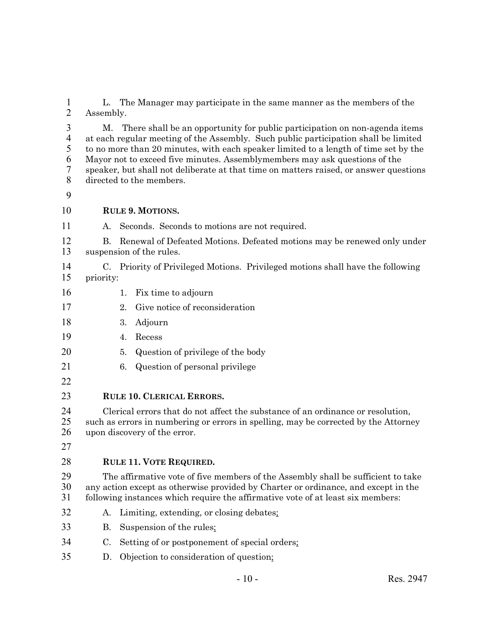1 L. The Manager may participate in the same manner as the members of the Assembly. Assembly.

 M. There shall be an opportunity for public participation on non-agenda items 4 at each regular meeting of the Assembly. Such public participation shall be limited<br>5 to no more than 20 minutes, with each speaker limited to a length of time set by the to no more than 20 minutes, with each speaker limited to a length of time set by the Mayor not to exceed five minutes. Assemblymembers may ask questions of the speaker, but shall not deliberate at that time on matters raised, or answer questions directed to the members.

### **RULE 9. MOTIONS.**

A. Seconds. Seconds to motions are not required.

 B. Renewal of Defeated Motions. Defeated motions may be renewed only under suspension of the rules.

- C. Priority of Privileged Motions. Privileged motions shall have the following priority:
- 16 1. Fix time to adjourn
- 2. Give notice of reconsideration
- 3. Adjourn
- 4. Recess
- 5. Question of privilege of the body
- 6. Question of personal privilege
- 

## **RULE 10. CLERICAL ERRORS.**

 Clerical errors that do not affect the substance of an ordinance or resolution, 25 such as errors in numbering or errors in spelling, may be corrected by the Attorney<br>26 upon discovery of the error. upon discovery of the error.

## **RULE 11. VOTE REQUIRED.**

 The affirmative vote of five members of the Assembly shall be sufficient to take 30 any action except as otherwise provided by Charter or ordinance, and except in the following instances which require the affirmative vote of at least six members: following instances which require the affirmative vote of at least six members:

- A. Limiting, extending, or closing debates;
- B. Suspension of the rules;
- C. Setting of or postponement of special orders;
- D. Objection to consideration of question;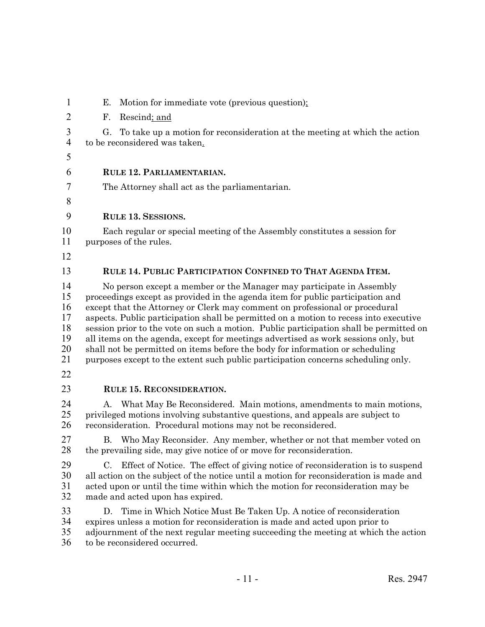| $\mathbf{I}$                                       | Ŀ.<br>Motion for immediate vote (previous question);                                                                                                                                                                                                                                                                                                                                                                                                                                                                                                                                                                                                                                 |  |  |  |  |  |  |
|----------------------------------------------------|--------------------------------------------------------------------------------------------------------------------------------------------------------------------------------------------------------------------------------------------------------------------------------------------------------------------------------------------------------------------------------------------------------------------------------------------------------------------------------------------------------------------------------------------------------------------------------------------------------------------------------------------------------------------------------------|--|--|--|--|--|--|
| $\overline{2}$                                     | F.<br>Rescind; and                                                                                                                                                                                                                                                                                                                                                                                                                                                                                                                                                                                                                                                                   |  |  |  |  |  |  |
| $\mathfrak{Z}$<br>$\overline{4}$                   | G.<br>To take up a motion for reconsideration at the meeting at which the action<br>to be reconsidered was taken.                                                                                                                                                                                                                                                                                                                                                                                                                                                                                                                                                                    |  |  |  |  |  |  |
| 5                                                  |                                                                                                                                                                                                                                                                                                                                                                                                                                                                                                                                                                                                                                                                                      |  |  |  |  |  |  |
| 6                                                  | RULE 12. PARLIAMENTARIAN.                                                                                                                                                                                                                                                                                                                                                                                                                                                                                                                                                                                                                                                            |  |  |  |  |  |  |
| 7                                                  | The Attorney shall act as the parliamentarian.                                                                                                                                                                                                                                                                                                                                                                                                                                                                                                                                                                                                                                       |  |  |  |  |  |  |
| 8                                                  |                                                                                                                                                                                                                                                                                                                                                                                                                                                                                                                                                                                                                                                                                      |  |  |  |  |  |  |
| 9                                                  | <b>RULE 13. SESSIONS.</b>                                                                                                                                                                                                                                                                                                                                                                                                                                                                                                                                                                                                                                                            |  |  |  |  |  |  |
| 10<br>11                                           | Each regular or special meeting of the Assembly constitutes a session for<br>purposes of the rules.                                                                                                                                                                                                                                                                                                                                                                                                                                                                                                                                                                                  |  |  |  |  |  |  |
| 12                                                 |                                                                                                                                                                                                                                                                                                                                                                                                                                                                                                                                                                                                                                                                                      |  |  |  |  |  |  |
| 13                                                 | RULE 14. PUBLIC PARTICIPATION CONFINED TO THAT AGENDA ITEM.                                                                                                                                                                                                                                                                                                                                                                                                                                                                                                                                                                                                                          |  |  |  |  |  |  |
| 14<br>15<br>16<br>17<br>18<br>19<br>20<br>21<br>22 | No person except a member or the Manager may participate in Assembly<br>proceedings except as provided in the agenda item for public participation and<br>except that the Attorney or Clerk may comment on professional or procedural<br>aspects. Public participation shall be permitted on a motion to recess into executive<br>session prior to the vote on such a motion. Public participation shall be permitted on<br>all items on the agenda, except for meetings advertised as work sessions only, but<br>shall not be permitted on items before the body for information or scheduling<br>purposes except to the extent such public participation concerns scheduling only. |  |  |  |  |  |  |
| 23                                                 | <b>RULE 15. RECONSIDERATION.</b>                                                                                                                                                                                                                                                                                                                                                                                                                                                                                                                                                                                                                                                     |  |  |  |  |  |  |
| 24<br>25<br>26                                     | What May Be Reconsidered. Main motions, amendments to main motions,<br>А.<br>privileged motions involving substantive questions, and appeals are subject to<br>reconsideration. Procedural motions may not be reconsidered.                                                                                                                                                                                                                                                                                                                                                                                                                                                          |  |  |  |  |  |  |
| 27<br>28                                           | Who May Reconsider. Any member, whether or not that member voted on<br>$\mathbf{B}$<br>the prevailing side, may give notice of or move for reconsideration.                                                                                                                                                                                                                                                                                                                                                                                                                                                                                                                          |  |  |  |  |  |  |
| 29<br>30<br>31<br>32                               | Effect of Notice. The effect of giving notice of reconsideration is to suspend<br>C.<br>all action on the subject of the notice until a motion for reconsideration is made and<br>acted upon or until the time within which the motion for reconsideration may be<br>made and acted upon has expired.                                                                                                                                                                                                                                                                                                                                                                                |  |  |  |  |  |  |
| 33<br>34<br>35<br>36                               | Time in Which Notice Must Be Taken Up. A notice of reconsideration<br>D.<br>expires unless a motion for reconsideration is made and acted upon prior to<br>adjournment of the next regular meeting succeeding the meeting at which the action<br>to be reconsidered occurred.                                                                                                                                                                                                                                                                                                                                                                                                        |  |  |  |  |  |  |

E. Motion for immediate vote (previous question);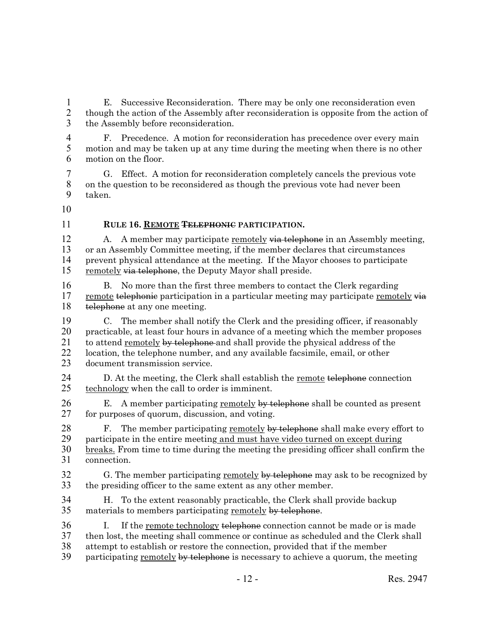1 E. Successive Reconsideration. There may be only one reconsideration even<br>2 though the action of the Assembly after reconsideration is opposite from the action 2 though the action of the Assembly after reconsideration is opposite from the action of 3 the Assembly before reconsideration.

4 F. Precedence. A motion for reconsideration has precedence over every main<br>5 motion and may be taken up at any time during the meeting when there is no other motion and may be taken up at any time during the meeting when there is no other 6 motion on the floor.

7 G. Effect. A motion for reconsideration completely cancels the previous vote 8 on the question to be reconsidered as though the previous vote had never been 9 taken.

10

### 11 **RULE 16. REMOTE TELEPHONIC PARTICIPATION.**

12 A. A member may participate <u>remotely via telephone</u> in an Assembly meeting, 13 or an Assembly Committee meeting, if the member declares that circumstances 14 prevent physical attendance at the meeting. If the Mayor chooses to participate 15 remotely via telephone, the Deputy Mayor shall preside.

16 B. No more than the first three members to contact the Clerk regarding 17 remote telephonic participation in a particular meeting may participate remotely via 18 telephone at any one meeting.

19 C. The member shall notify the Clerk and the presiding officer, if reasonably<br>20 practicable, at least four hours in advance of a meeting which the member proposes 20 practicable, at least four hours in advance of a meeting which the member proposes 21 to attend <u>remotely by telephone</u> and shall provide the physical address of the location, the telephone number, and any available facsimile, email, or other location, the telephone number, and any available facsimile, email, or other 23 document transmission service.

24 D. At the meeting, the Clerk shall establish the <u>remote</u> telephone connection<br>25 technology when the call to order is imminent. technology when the call to order is imminent.

26 E. A member participating <u>remotely by telephone</u> shall be counted as present 27 for purposes of quorum, discussion, and voting. for purposes of quorum, discussion, and voting.

28 F. The member participating remotely by telephone shall make every effort to 29 participate in the entire meeting and must have video turned on except during 30 <u>breaks.</u> From time to time during the meeting the presiding officer shall confirm the connection.

connection.

32 G. The member participating <u>remotely by telephone</u> may ask to be recognized by the presiding officer to the same extent as any other member. the presiding officer to the same extent as any other member.

34 H. To the extent reasonably practicable, the Clerk shall provide backup<br>35 materials to members participating remotely by telephone. materials to members participating remotely by telephone.

- 36 I. If the <u>remote technology telephone</u> connection cannot be made or is made 37 then lost, the meeting shall commence or continue as scheduled and the Clerk shall 38 attempt to establish or restore the connection, provided that if the member
- 39 participating remotely by telephone is necessary to achieve a quorum, the meeting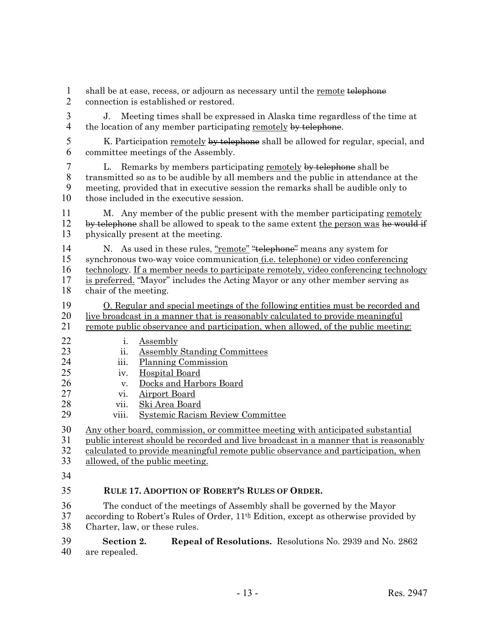1 shall be at ease, recess, or adjourn as necessary until the <u>remote</u> telephone<br>2 connection is established or restored.

2 connection is established or restored.

3 J. Meeting times shall be expressed in Alaska time regardless of the time at 4 the location of any member participating remotely by telephone.

5 K. Participation remotely by telephone shall be allowed for regular, special, and 6 committee meetings of the Assembly.

7 L. Remarks by members participating <u>remotely</u> by telephone shall be transmitted so as to be audible by all members and the public in attendance 8 transmitted so as to be audible by all members and the public in attendance at the meeting, provided that in executive session the remarks shall be audible only to 9 meeting, provided that in executive session the remarks shall be audible only to 10 those included in the executive session.

11 M. Any member of the public present with the member participating remotely 12 by telephone shall be allowed to speak to the same extent the person was he would if  $\frac{13}{13}$  physically present at the meeting. physically present at the meeting.

14 N. As used in these rules, <u>"remote"</u> "telephone" means any system for<br>15 synchronous two-way voice communication (i.e. telephone) or video conferer synchronous two-way voice communication *(i.e. telephone)* or video conferencing 16 technology. If a member needs to participate remotely, video conferencing technology 17 is preferred. "Mayor" includes the Acting Mayor or any other member serving as 18 chair of the meeting.

19 O. Regular and special meetings of the following entities must be recorded and<br>20 live broadcast in a manner that is reasonably calculated to provide meaningful 20 live broadcast in a manner that is reasonably calculated to provide meaningful<br>21 remote public observance and participation, when allowed, of the public meeting

- remote public observance and participation, when allowed, of the public meeting:
- 22 i. Assembly
- 23 ii. <u>Assembly Standing Committees</u><br>24 iii. Planning Commission
	- iii. Planning Commission
- 25 iv. Hospital Board
- 26 v. Docks and Harbors Board<br>27 vi. Airport Board
- vi. Airport Board
- 28 vii. <u>Ski Area Board</u><br>29 viii. Systemic Racisn
- viii. Systemic Racism Review Committee

30 Any other board, commission, or committee meeting with anticipated substantial

31 public interest should be recorded and live broadcast in a manner that is reasonably

32 calculated to provide meaningful remote public observance and participation, when

33 allowed, of the public meeting.

34

# 35 **RULE 17. ADOPTION OF ROBERT'S RULES OF ORDER.**

36 The conduct of the meetings of Assembly shall be governed by the Mayor<br>37 according to Robert's Rules of Order.  $11^{th}$  Edition, except as otherwise provide according to Robert's Rules of Order,  $11^{th}$  Edition, except as otherwise provided by 38 Charter, law, or these rules.

39 **Section 2. Repeal of Resolutions.** Resolutions No. 2939 and No. 2862 40 are repealed.